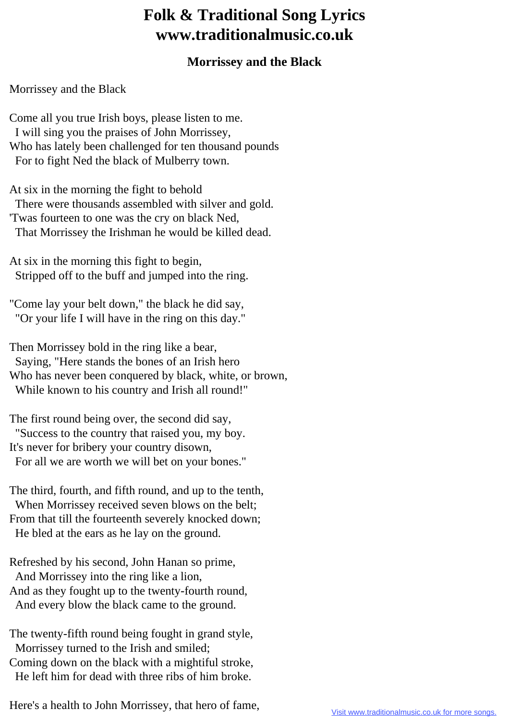## **Folk & Traditional Song Lyrics www.traditionalmusic.co.uk**

## **Morrissey and the Black**

Morrissey and the Black

Come all you true Irish boys, please listen to me. I will sing you the praises of John Morrissey, Who has lately been challenged for ten thousand pounds For to fight Ned the black of Mulberry town.

At six in the morning the fight to behold There were thousands assembled with silver and gold. 'Twas fourteen to one was the cry on black Ned, That Morrissey the Irishman he would be killed dead.

At six in the morning this fight to begin, Stripped off to the buff and jumped into the ring.

"Come lay your belt down," the black he did say, "Or your life I will have in the ring on this day."

Then Morrissey bold in the ring like a bear, Saying, "Here stands the bones of an Irish hero Who has never been conquered by black, white, or brown, While known to his country and Irish all round!"

The first round being over, the second did say, "Success to the country that raised you, my boy. It's never for bribery your country disown, For all we are worth we will bet on your bones."

The third, fourth, and fifth round, and up to the tenth, When Morrissey received seven blows on the belt; From that till the fourteenth severely knocked down; He bled at the ears as he lay on the ground.

Refreshed by his second, John Hanan so prime, And Morrissey into the ring like a lion, And as they fought up to the twenty-fourth round, And every blow the black came to the ground.

The twenty-fifth round being fought in grand style, Morrissey turned to the Irish and smiled;

Coming down on the black with a mightiful stroke, He left him for dead with three ribs of him broke.

Here's a health to John Morrissey, that hero of fame,